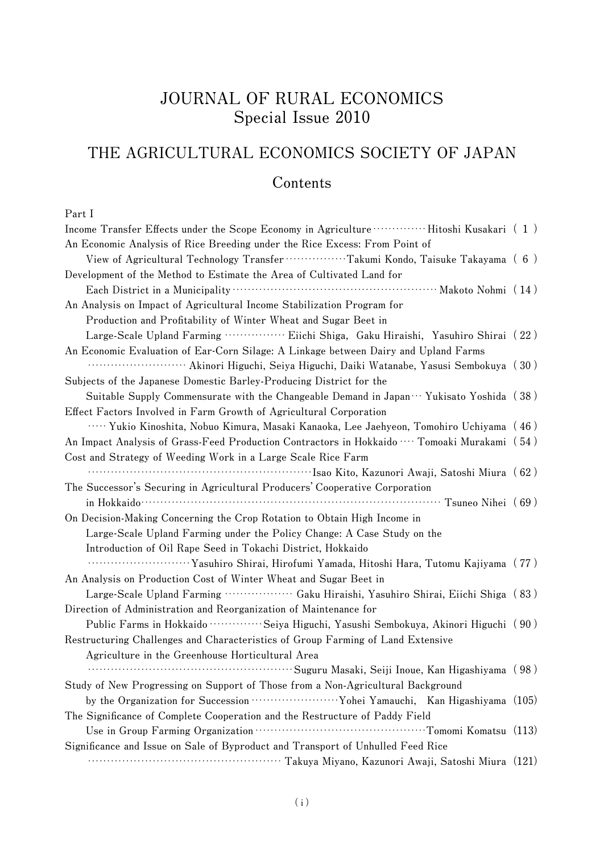## **JOURNAL OF RURAL ECONOMICS Special Issue 2010**

## **THE AGRICULTURAL ECONOMICS SOCIETY OF JAPAN Contents**

## **Part I**

| Income Transfer Effects under the Scope Economy in Agriculture ··················Hitoshi Kusakari (1) |  |
|-------------------------------------------------------------------------------------------------------|--|
| An Economic Analysis of Rice Breeding under the Rice Excess: From Point of                            |  |
| View of Agricultural Technology Transfer ··················Takumi Kondo, Taisuke Takayama (6)         |  |
| Development of the Method to Estimate the Area of Cultivated Land for                                 |  |
|                                                                                                       |  |
| An Analysis on Impact of Agricultural Income Stabilization Program for                                |  |
| Production and Profitability of Winter Wheat and Sugar Beet in                                        |  |
| Large-Scale Upland Farming ··················· Eiichi Shiga, Gaku Hiraishi, Yasuhiro Shirai (22)      |  |
| An Economic Evaluation of Ear-Corn Silage: A Linkage between Dairy and Upland Farms                   |  |
| ··························· Akinori Higuchi, Seiya Higuchi, Daiki Watanabe, Yasusi Sembokuya (30)     |  |
| Subjects of the Japanese Domestic Barley-Producing District for the                                   |  |
| Suitable Supply Commensurate with the Changeable Demand in Japan $\cdots$ Yukisato Yoshida (38)       |  |
| Effect Factors Involved in Farm Growth of Agricultural Corporation                                    |  |
| ······ Yukio Kinoshita, Nobuo Kimura, Masaki Kanaoka, Lee Jaehyeon, Tomohiro Uchiyama (46)            |  |
| An Impact Analysis of Grass-Feed Production Contractors in Hokkaido … Tomoaki Murakami (54)           |  |
| Cost and Strategy of Weeding Work in a Large Scale Rice Farm                                          |  |
|                                                                                                       |  |
| The Successor's Securing in Agricultural Producers' Cooperative Corporation                           |  |
|                                                                                                       |  |
| On Decision-Making Concerning the Crop Rotation to Obtain High Income in                              |  |
| Large-Scale Upland Farming under the Policy Change: A Case Study on the                               |  |
| Introduction of Oil Rape Seed in Tokachi District, Hokkaido                                           |  |
| ···························· Yasuhiro Shirai, Hirofumi Yamada, Hitoshi Hara, Tutomu Kajiyama (77)     |  |
| An Analysis on Production Cost of Winter Wheat and Sugar Beet in                                      |  |
|                                                                                                       |  |
| Direction of Administration and Reorganization of Maintenance for                                     |  |
| Public Farms in Hokkaido ……………Seiya Higuchi, Yasushi Sembokuya, Akinori Higuchi (90)                  |  |
| Restructuring Challenges and Characteristics of Group Farming of Land Extensive                       |  |
| Agriculture in the Greenhouse Horticultural Area                                                      |  |
|                                                                                                       |  |
| Study of New Progressing on Support of Those from a Non-Agricultural Background                       |  |
|                                                                                                       |  |
| The Significance of Complete Cooperation and the Restructure of Paddy Field                           |  |
|                                                                                                       |  |
| Significance and Issue on Sale of Byproduct and Transport of Unhulled Feed Rice                       |  |
|                                                                                                       |  |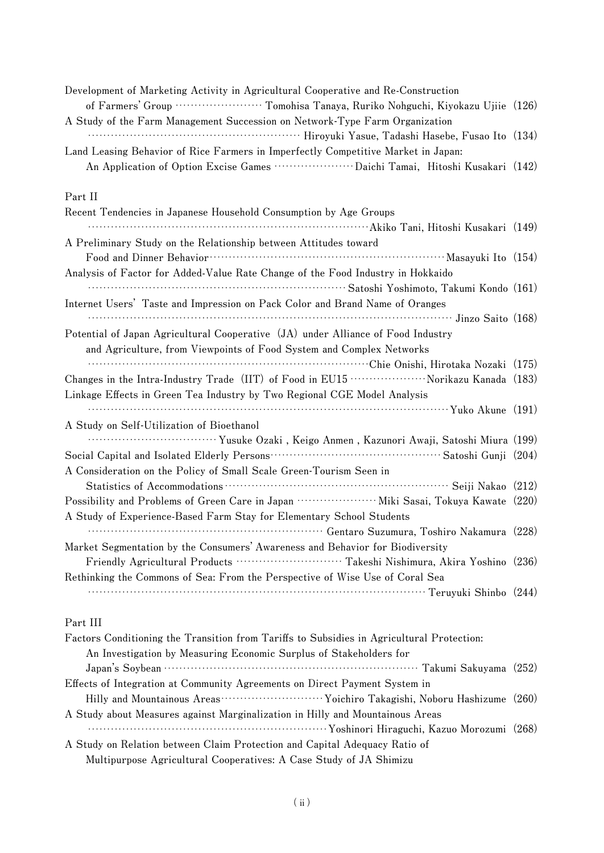| Development of Marketing Activity in Agricultural Cooperative and Re-Construction                              |  |
|----------------------------------------------------------------------------------------------------------------|--|
| A Study of the Farm Management Succession on Network-Type Farm Organization<br>Tadashi Hasebe, Fusao Ito (134) |  |
| Land Leasing Behavior of Rice Farmers in Imperfectly Competitive Market in Japan:                              |  |
| An Application of Option Excise Games ························· Daichi Tamai, Hitoshi Kusakari (142)           |  |
| Part II                                                                                                        |  |
| Recent Tendencies in Japanese Household Consumption by Age Groups                                              |  |
| Akiko Tani, Hitoshi Kusakari (149)                                                                             |  |
| A Preliminary Study on the Relationship between Attitudes toward                                               |  |
| Food and Dinner Behavior manufactured and Dinner Behavior metaster of the Contractor Masayuki Ito (154)        |  |
| Analysis of Factor for Added-Value Rate Change of the Food Industry in Hokkaido                                |  |
|                                                                                                                |  |
| Internet Users' Taste and Impression on Pack Color and Brand Name of Oranges                                   |  |
| Jinzo Saito (168)                                                                                              |  |
| Potential of Japan Agricultural Cooperative (JA) under Alliance of Food Industry                               |  |
| and Agriculture, from Viewpoints of Food System and Complex Networks                                           |  |
| Chie Onishi, Hirotaka Nozaki (175)                                                                             |  |
|                                                                                                                |  |
| Linkage Effects in Green Tea Industry by Two Regional CGE Model Analysis                                       |  |
| Tuko Akune (191)                                                                                               |  |
| A Study on Self-Utilization of Bioethanol                                                                      |  |
|                                                                                                                |  |
|                                                                                                                |  |
| A Consideration on the Policy of Small Scale Green-Tourism Seen in                                             |  |
|                                                                                                                |  |
| Possibility and Problems of Green Care in Japan  Miki Sasai, Tokuya Kawate (220)                               |  |
| A Study of Experience-Based Farm Stay for Elementary School Students                                           |  |
| Gentaro Suzumura, Toshiro Nakamura (228)                                                                       |  |
| Market Segmentation by the Consumers' Awareness and Behavior for Biodiversity                                  |  |
|                                                                                                                |  |
| Rethinking the Commons of Sea: From the Perspective of Wise Use of Coral Sea                                   |  |
| Teruyuki Shinbo (244)                                                                                          |  |
|                                                                                                                |  |

## **Part III**

| Factors Conditioning the Transition from Tariffs to Subsidies in Agricultural Protection: |  |
|-------------------------------------------------------------------------------------------|--|
| An Investigation by Measuring Economic Surplus of Stakeholders for                        |  |
|                                                                                           |  |
| Effects of Integration at Community Agreements on Direct Payment System in                |  |
|                                                                                           |  |
| A Study about Measures against Marginalization in Hilly and Mountainous Areas             |  |
| Yoshinori Hiraguchi, Kazuo Morozumi (268)                                                 |  |
| A Study on Relation between Claim Protection and Capital Adequacy Ratio of                |  |
| Multipurpose Agricultural Cooperatives: A Case Study of JA Shimizu                        |  |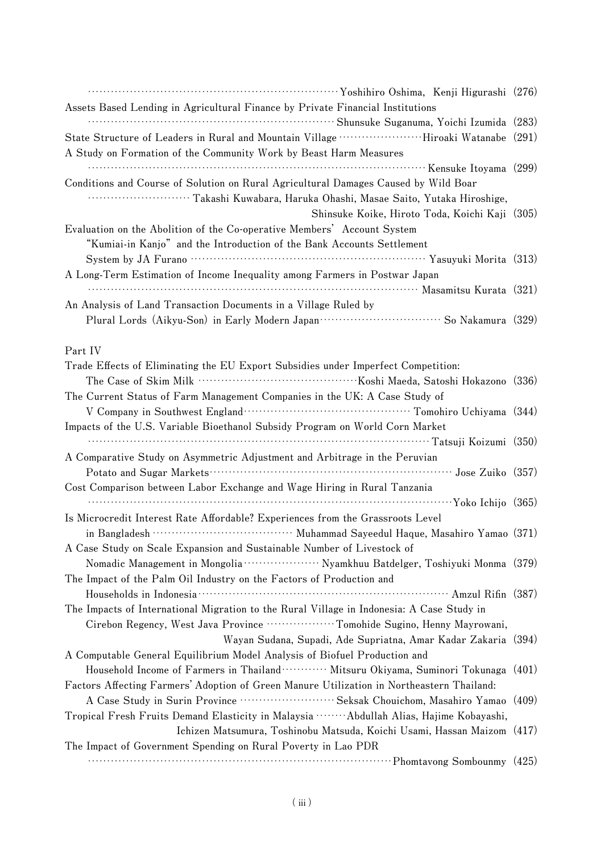| Yoshihiro Oshima, Kenji Higurashi (276)<br>Assets Based Lending in Agricultural Finance by Private Financial Institutions                                                                                                      |  |
|--------------------------------------------------------------------------------------------------------------------------------------------------------------------------------------------------------------------------------|--|
| Shunsuke Suganuma, Yoichi Izumida (283)<br>State Structure of Leaders in Rural and Mountain Village ·······························Hiroaki Watanabe (291)<br>A Study on Formation of the Community Work by Beast Harm Measures |  |
| Kensuke Itoyama (299)<br>Conditions and Course of Solution on Rural Agricultural Damages Caused by Wild Boar<br>Takashi Kuwabara, Haruka Ohashi, Masae Saito, Yutaka Hiroshige,                                                |  |
| Shinsuke Koike, Hiroto Toda, Koichi Kaji (305)<br>Evaluation on the Abolition of the Co-operative Members' Account System<br>"Kumiai-in Kanjo" and the Introduction of the Bank Accounts Settlement                            |  |
| A Long-Term Estimation of Income Inequality among Farmers in Postwar Japan                                                                                                                                                     |  |
| Masamitsu Kurata (321)<br>An Analysis of Land Transaction Documents in a Village Ruled by                                                                                                                                      |  |
| Part IV                                                                                                                                                                                                                        |  |
| Trade Effects of Eliminating the EU Export Subsidies under Imperfect Competition:<br>The Current Status of Farm Management Companies in the UK: A Case Study of                                                                |  |
| Impacts of the U.S. Variable Bioethanol Subsidy Program on World Corn Market                                                                                                                                                   |  |
| Tatsuji Koizumi (350)<br>A Comparative Study on Asymmetric Adjustment and Arbitrage in the Peruvian                                                                                                                            |  |
| Cost Comparison between Labor Exchange and Wage Hiring in Rural Tanzania                                                                                                                                                       |  |
| Is Microcredit Interest Rate Affordable? Experiences from the Grassroots Level                                                                                                                                                 |  |
| A Case Study on Scale Expansion and Sustainable Number of Livestock of<br>Nomadic Management in Mongolia ·························· Nyamkhuu Batdelger, Toshiyuki Monma (379)                                                  |  |
| The Impact of the Palm Oil Industry on the Factors of Production and                                                                                                                                                           |  |
| The Impacts of International Migration to the Rural Village in Indonesia: A Case Study in<br>Cirebon Regency, West Java Province ························ Tomohide Sugino, Henny Mayrowani,                                    |  |
| Wayan Sudana, Supadi, Ade Supriatna, Amar Kadar Zakaria (394)<br>A Computable General Equilibrium Model Analysis of Biofuel Production and                                                                                     |  |
| Household Income of Farmers in Thailand  Mitsuru Okiyama, Suminori Tokunaga (401)<br>Factors Affecting Farmers' Adoption of Green Manure Utilization in Northeastern Thailand:                                                 |  |
| Tropical Fresh Fruits Demand Elasticity in Malaysia ········ Abdullah Alias, Hajime Kobayashi,<br>Ichizen Matsumura, Toshinobu Matsuda, Koichi Usami, Hassan Maizom (417)                                                      |  |
| The Impact of Government Spending on Rural Poverty in Lao PDR<br>Thomas Sombounny (425)                                                                                                                                        |  |